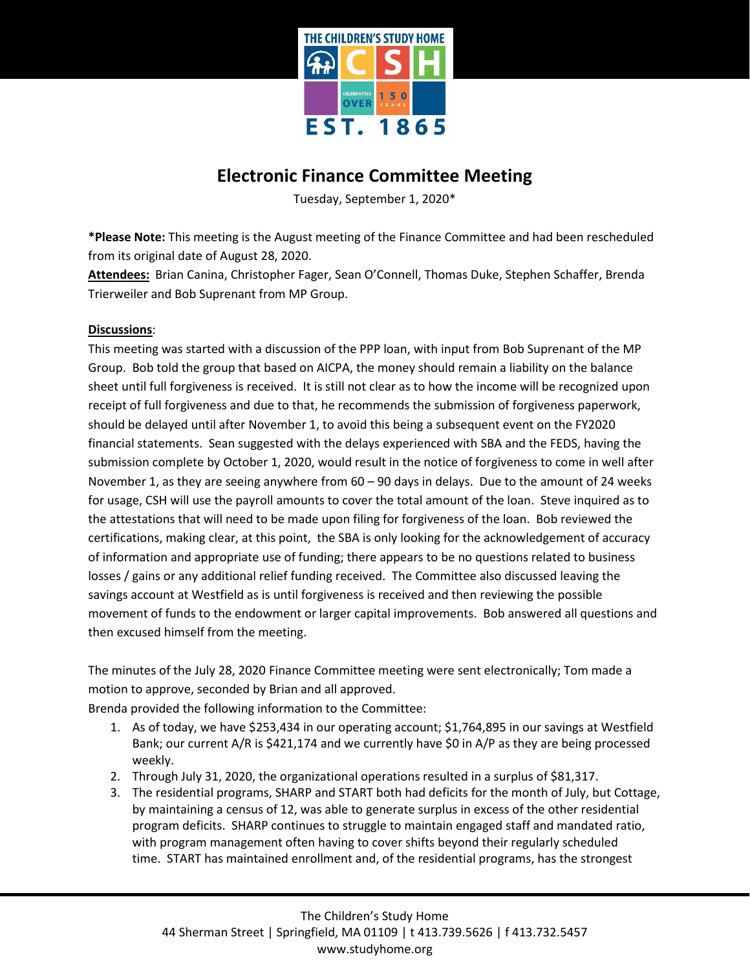

## **Electronic Finance Committee Meeting**

Tuesday, September 1, 2020\*

**\*Please Note:** This meeting is the August meeting of the Finance Committee and had been rescheduled from its original date of August 28, 2020.

**Attendees:** Brian Canina, Christopher Fager, Sean O'Connell, Thomas Duke, Stephen Schaffer, Brenda Trierweiler and Bob Suprenant from MP Group.

## **Discussions**:

This meeting was started with a discussion of the PPP loan, with input from Bob Suprenant of the MP Group. Bob told the group that based on AICPA, the money should remain a liability on the balance sheet until full forgiveness is received. It is still not clear as to how the income will be recognized upon receipt of full forgiveness and due to that, he recommends the submission of forgiveness paperwork, should be delayed until after November 1, to avoid this being a subsequent event on the FY2020 financial statements. Sean suggested with the delays experienced with SBA and the FEDS, having the submission complete by October 1, 2020, would result in the notice of forgiveness to come in well after November 1, as they are seeing anywhere from  $60 - 90$  days in delays. Due to the amount of 24 weeks for usage, CSH will use the payroll amounts to cover the total amount of the loan. Steve inquired as to the attestations that will need to be made upon filing for forgiveness of the loan. Bob reviewed the certifications, making clear, at this point, the SBA is only looking for the acknowledgement of accuracy of information and appropriate use of funding; there appears to be no questions related to business losses / gains or any additional relief funding received. The Committee also discussed leaving the savings account at Westfield as is until forgiveness is received and then reviewing the possible movement of funds to the endowment or larger capital improvements. Bob answered all questions and then excused himself from the meeting.

The minutes of the July 28, 2020 Finance Committee meeting were sent electronically; Tom made a motion to approve, seconded by Brian and all approved.

Brenda provided the following information to the Committee:

- 1. As of today, we have \$253,434 in our operating account; \$1,764,895 in our savings at Westfield Bank; our current A/R is \$421,174 and we currently have \$0 in A/P as they are being processed weekly.
- 2. Through July 31, 2020, the organizational operations resulted in a surplus of \$81,317.
- 3. The residential programs, SHARP and START both had deficits for the month of July, but Cottage, by maintaining a census of 12, was able to generate surplus in excess of the other residential program deficits. SHARP continues to struggle to maintain engaged staff and mandated ratio, with program management often having to cover shifts beyond their regularly scheduled time. START has maintained enrollment and, of the residential programs, has the strongest